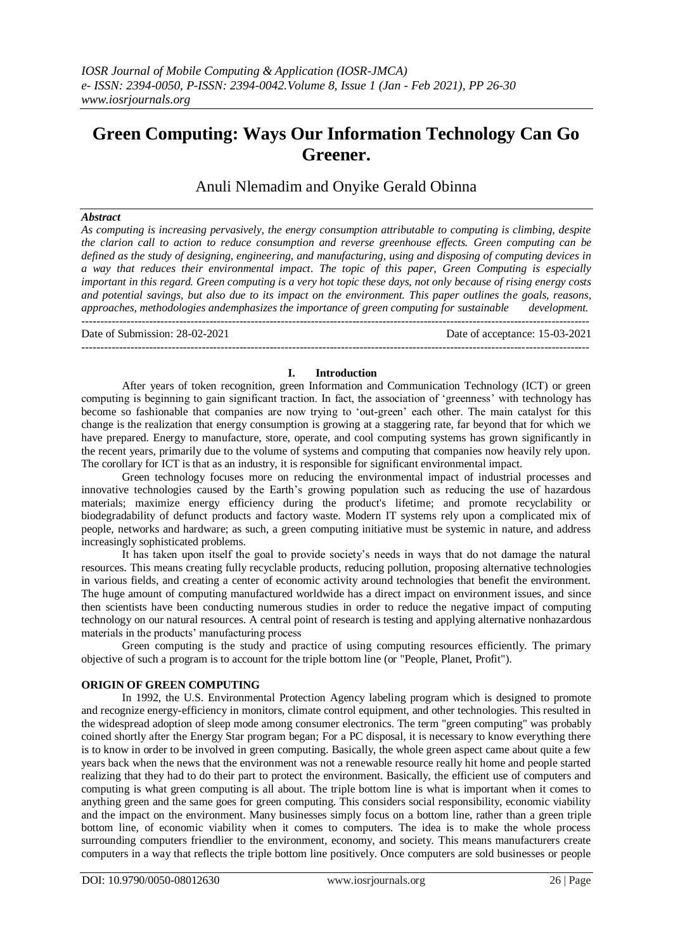# **Green Computing: Ways Our Information Technology Can Go Greener.**

Anuli Nlemadim and Onyike Gerald Obinna

# *Abstract*

*As computing is increasing pervasively, the energy consumption attributable to computing is climbing, despite the clarion call to action to reduce consumption and reverse greenhouse effects. Green computing can be defined as the study of designing, engineering, and manufacturing, using and disposing of computing devices in a way that reduces their environmental impact. The topic of this paper, Green Computing is especially important in this regard. Green computing is a very hot topic these days, not only because of rising energy costs and potential savings, but also due to its impact on the environment. This paper outlines the goals, reasons, approaches, methodologies andemphasizes the importance of green computing for sustainable development.* ---------------------------------------------------------------------------------------------------------------------------------------

Date of Submission: 28-02-2021 Date of acceptance: 15-03-2021

# ---------------------------------------------------------------------------------------------------------------------------------------

#### **I. Introduction**

After years of token recognition, green Information and Communication Technology (ICT) or green computing is beginning to gain significant traction. In fact, the association of 'greenness' with technology has become so fashionable that companies are now trying to 'out-green' each other. The main catalyst for this change is the realization that energy consumption is growing at a staggering rate, far beyond that for which we have prepared. Energy to manufacture, store, operate, and cool computing systems has grown significantly in the recent years, primarily due to the volume of systems and computing that companies now heavily rely upon. The corollary for ICT is that as an industry, it is responsible for significant environmental impact.

Green technology focuses more on reducing the environmental impact of industrial processes and innovative technologies caused by the Earth's growing population such as reducing the use of hazardous materials; maximize energy efficiency during the product's lifetime; and promote recyclability or biodegradability of defunct products and factory waste. Modern IT systems rely upon a complicated mix of people, networks and hardware; as such, a green computing initiative must be systemic in nature, and address increasingly sophisticated problems.

It has taken upon itself the goal to provide society's needs in ways that do not damage the natural resources. This means creating fully recyclable products, reducing pollution, proposing alternative technologies in various fields, and creating a center of economic activity around technologies that benefit the environment. The huge amount of computing manufactured worldwide has a direct impact on environment issues, and since then scientists have been conducting numerous studies in order to reduce the negative impact of computing technology on our natural resources. A central point of research is testing and applying alternative nonhazardous materials in the products' manufacturing process

Green computing is the study and practice of using computing resources efficiently. The primary objective of such a program is to account for the triple bottom line (or "People, Planet, Profit").

## **ORIGIN OF GREEN COMPUTING**

In 1992, the U.S. Environmental Protection Agency labeling program which is designed to promote and recognize energy-efficiency in monitors, climate control equipment, and other technologies. This resulted in the widespread adoption of sleep mode among consumer electronics. The term "green computing" was probably coined shortly after the Energy Star program began; For a PC disposal, it is necessary to know everything there is to know in order to be involved in green computing. Basically, the whole green aspect came about quite a few years back when the news that the environment was not a renewable resource really hit home and people started realizing that they had to do their part to protect the environment. Basically, the efficient use of computers and computing is what green computing is all about. The triple bottom line is what is important when it comes to anything green and the same goes for green computing. This considers social responsibility, economic viability and the impact on the environment. Many businesses simply focus on a bottom line, rather than a green triple bottom line, of economic viability when it comes to computers. The idea is to make the whole process surrounding computers friendlier to the environment, economy, and society. This means manufacturers create computers in a way that reflects the triple bottom line positively. Once computers are sold businesses or people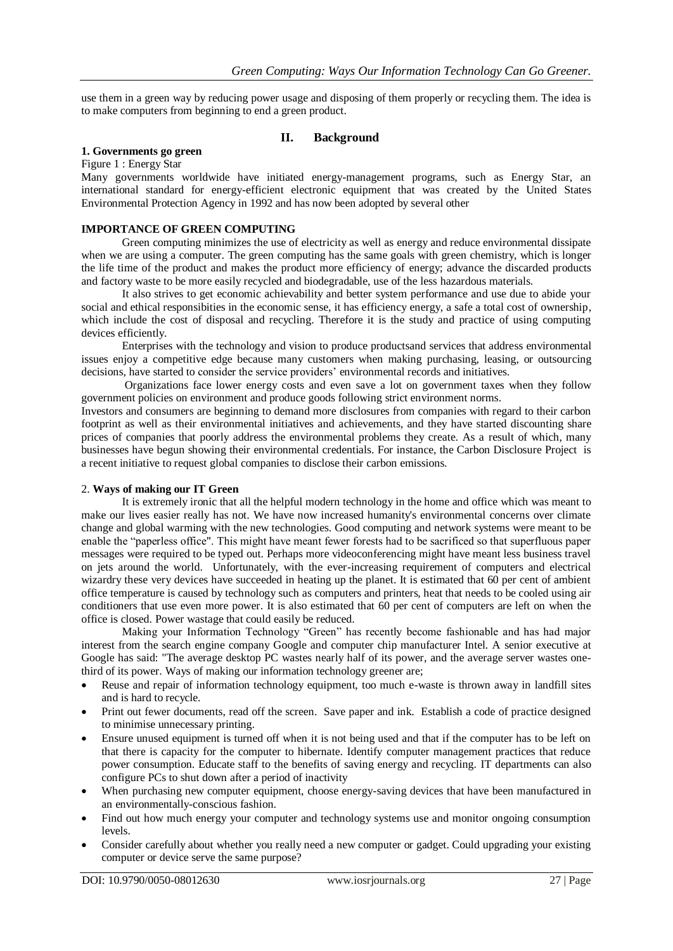use them in a green way by reducing power usage and disposing of them properly or recycling them. The idea is to make computers from beginning to end a green product.

# **II. Background**

#### **1. Governments go green**

Figure 1 : Energy Star

Many governments worldwide have initiated energy-management programs, such as Energy Star, an international standard for energy-efficient electronic equipment that was created by the United States Environmental Protection Agency in 1992 and has now been adopted by several other

#### **IMPORTANCE OF GREEN COMPUTING**

Green computing minimizes the use of electricity as well as energy and reduce environmental dissipate when we are using a computer. The green computing has the same goals with green chemistry, which is longer the life time of the product and makes the product more efficiency of energy; advance the discarded products and factory waste to be more easily recycled and biodegradable, use of the less hazardous materials.

It also strives to get economic achievability and better system performance and use due to abide your social and ethical responsibities in the economic sense, it has efficiency energy, a safe a total cost of ownership, which include the cost of disposal and recycling. Therefore it is the study and practice of using computing devices efficiently.

Enterprises with the technology and vision to produce productsand services that address environmental issues enjoy a competitive edge because many customers when making purchasing, leasing, or outsourcing decisions, have started to consider the service providers' environmental records and initiatives.

Organizations face lower energy costs and even save a lot on government taxes when they follow government policies on environment and produce goods following strict environment norms.

Investors and consumers are beginning to demand more disclosures from companies with regard to their carbon footprint as well as their environmental initiatives and achievements, and they have started discounting share prices of companies that poorly address the environmental problems they create. As a result of which, many businesses have begun showing their environmental credentials. For instance, the Carbon Disclosure Project is a recent initiative to request global companies to disclose their carbon emissions.

#### 2. **Ways of making our IT Green**

It is extremely ironic that all the helpful modern technology in the home and office which was meant to make our lives easier really has not. We have now increased humanity's environmental concerns over climate change and global warming with the new technologies. Good computing and network systems were meant to be enable the "paperless office". This might have meant fewer forests had to be sacrificed so that superfluous paper messages were required to be typed out. Perhaps more videoconferencing might have meant less business travel on jets around the world. Unfortunately, with the ever-increasing requirement of computers and electrical wizardry these very devices have succeeded in heating up the planet. It is estimated that 60 per cent of ambient office temperature is caused by technology such as computers and printers, heat that needs to be cooled using air conditioners that use even more power. It is also estimated that 60 per cent of computers are left on when the office is closed. Power wastage that could easily be reduced.

Making your Information Technology "Green" has recently become fashionable and has had major interest from the search engine company Google and computer chip manufacturer Intel. A senior executive at Google has said: "The average desktop PC wastes nearly half of its power, and the average server wastes onethird of its power. Ways of making our information technology greener are;

- Reuse and repair of information technology equipment, too much e-waste is thrown away in landfill sites and is hard to recycle.
- Print out fewer documents, read off the screen. Save paper and ink. Establish a code of practice designed to minimise unnecessary printing.
- Ensure unused equipment is turned off when it is not being used and that if the computer has to be left on that there is capacity for the computer to hibernate. Identify computer management practices that reduce power consumption. Educate staff to the benefits of saving energy and recycling. IT departments can also configure PCs to shut down after a period of inactivity
- When purchasing new computer equipment, choose energy-saving devices that have been manufactured in an environmentally-conscious fashion.
- Find out how much energy your computer and technology systems use and monitor ongoing consumption levels.
- Consider carefully about whether you really need a new computer or gadget. Could upgrading your existing computer or device serve the same purpose?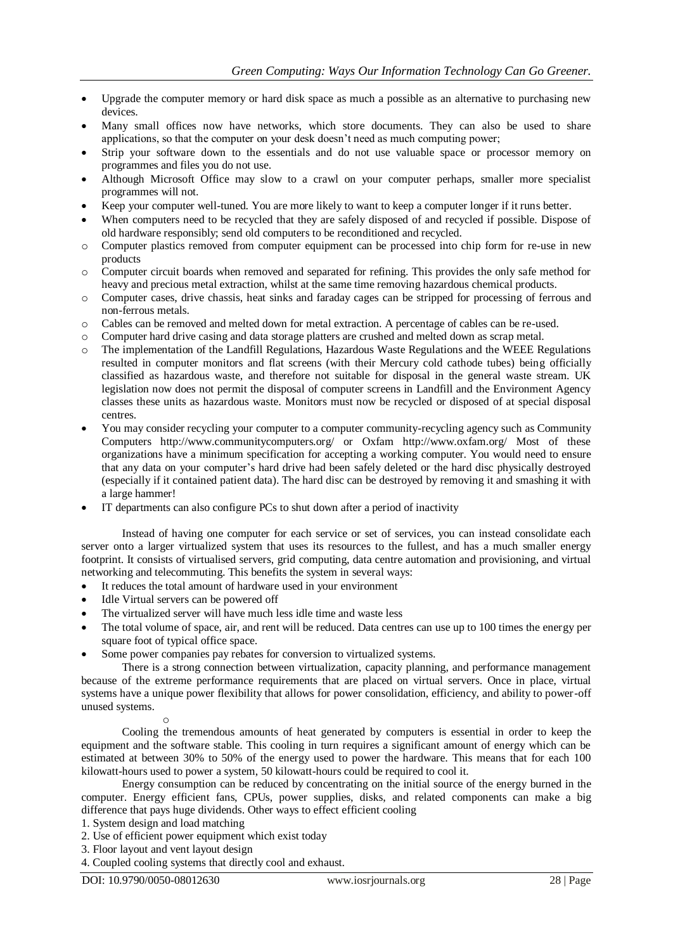- Upgrade the computer memory or hard disk space as much a possible as an alternative to purchasing new devices.
- Many small offices now have networks, which store documents. They can also be used to share applications, so that the computer on your desk doesn't need as much computing power;
- Strip your software down to the essentials and do not use valuable space or processor memory on programmes and files you do not use.
- Although Microsoft Office may slow to a crawl on your computer perhaps, smaller more specialist programmes will not.
- Keep your computer well-tuned. You are more likely to want to keep a computer longer if it runs better.
- When computers need to be recycled that they are safely disposed of and recycled if possible. Dispose of old hardware responsibly; send old computers to be reconditioned and recycled.
- o Computer plastics removed from computer equipment can be processed into chip form for re-use in new products
- o Computer circuit boards when removed and separated for refining. This provides the only safe method for heavy and precious metal extraction, whilst at the same time removing hazardous chemical products.
- o Computer cases, drive chassis, heat sinks and faraday cages can be stripped for processing of ferrous and non-ferrous metals.
- o Cables can be removed and melted down for metal extraction. A percentage of cables can be re-used.
- o Computer hard drive casing and data storage platters are crushed and melted down as scrap metal.
- o The implementation of the Landfill Regulations, Hazardous Waste Regulations and the WEEE Regulations resulted in computer monitors and flat screens (with their Mercury cold cathode tubes) being officially classified as hazardous waste, and therefore not suitable for disposal in the general waste stream. UK legislation now does not permit the disposal of computer screens in Landfill and the Environment Agency classes these units as hazardous waste. Monitors must now be recycled or disposed of at special disposal centres.
- You may consider recycling your computer to a computer community-recycling agency such as Community Computers http://www.communitycomputers.org/ or Oxfam http://www.oxfam.org/ Most of these organizations have a minimum specification for accepting a working computer. You would need to ensure that any data on your computer's hard drive had been safely deleted or the hard disc physically destroyed (especially if it contained patient data). The hard disc can be destroyed by removing it and smashing it with a large hammer!
- IT departments can also configure PCs to shut down after a period of inactivity

Instead of having one computer for each service or set of services, you can instead consolidate each server onto a larger virtualized system that uses its resources to the fullest, and has a much smaller energy footprint. It consists of virtualised servers, grid computing, data centre automation and provisioning, and virtual networking and telecommuting. This benefits the system in several ways:

- It reduces the total amount of hardware used in your environment
- Idle Virtual servers can be powered off
- The virtualized server will have much less idle time and waste less
- The total volume of space, air, and rent will be reduced. Data centres can use up to 100 times the energy per square foot of typical office space.
- Some power companies pay rebates for conversion to virtualized systems.

There is a strong connection between virtualization, capacity planning, and performance management because of the extreme performance requirements that are placed on virtual servers. Once in place, virtual systems have a unique power flexibility that allows for power consolidation, efficiency, and ability to power-off unused systems.

o

Cooling the tremendous amounts of heat generated by computers is essential in order to keep the equipment and the software stable. This cooling in turn requires a significant amount of energy which can be estimated at between 30% to 50% of the energy used to power the hardware. This means that for each 100 kilowatt-hours used to power a system, 50 kilowatt-hours could be required to cool it.

Energy consumption can be reduced by concentrating on the initial source of the energy burned in the computer. Energy efficient fans, CPUs, power supplies, disks, and related components can make a big difference that pays huge dividends. Other ways to effect efficient cooling

- 1. System design and load matching
- 2. Use of efficient power equipment which exist today
- 3. Floor layout and vent layout design

4. Coupled cooling systems that directly cool and exhaust.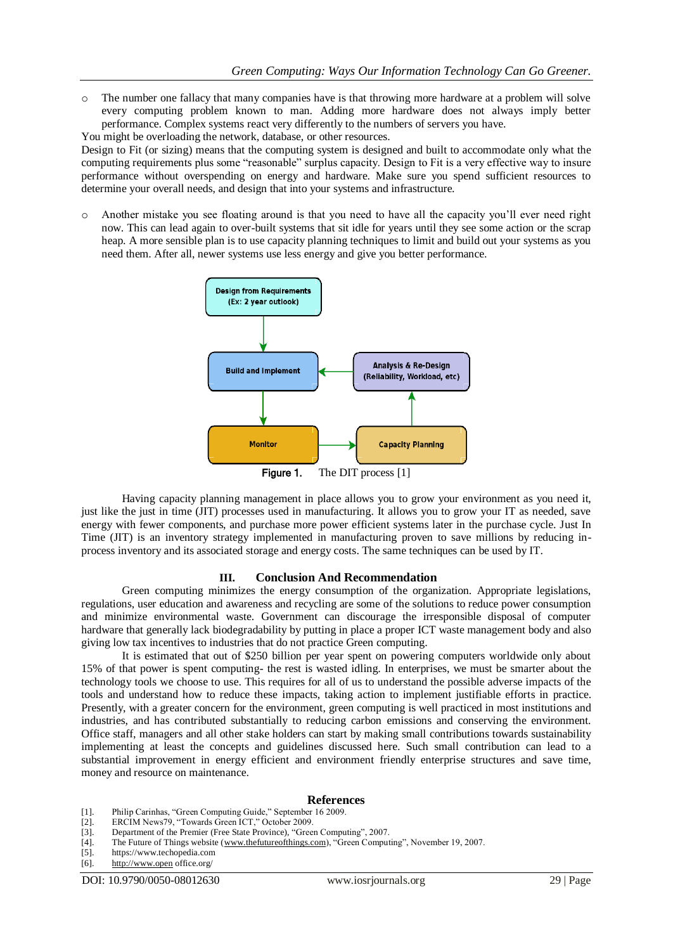o The number one fallacy that many companies have is that throwing more hardware at a problem will solve every computing problem known to man. Adding more hardware does not always imply better performance. Complex systems react very differently to the numbers of servers you have.

You might be overloading the network, database, or other resources.

Design to Fit (or sizing) means that the computing system is designed and built to accommodate only what the computing requirements plus some "reasonable" surplus capacity. Design to Fit is a very effective way to insure performance without overspending on energy and hardware. Make sure you spend sufficient resources to determine your overall needs, and design that into your systems and infrastructure.

Another mistake you see floating around is that you need to have all the capacity you'll ever need right now. This can lead again to over-built systems that sit idle for years until they see some action or the scrap heap. A more sensible plan is to use capacity planning techniques to limit and build out your systems as you need them. After all, newer systems use less energy and give you better performance.



Having capacity planning management in place allows you to grow your environment as you need it, just like the just in time (JIT) processes used in manufacturing. It allows you to grow your IT as needed, save energy with fewer components, and purchase more power efficient systems later in the purchase cycle. Just In Time (JIT) is an inventory strategy implemented in manufacturing proven to save millions by reducing inprocess inventory and its associated storage and energy costs. The same techniques can be used by IT.

## **III. Conclusion And Recommendation**

Green computing minimizes the energy consumption of the organization. Appropriate legislations, regulations, user education and awareness and recycling are some of the solutions to reduce power consumption and minimize environmental waste. Government can discourage the irresponsible disposal of computer hardware that generally lack biodegradability by putting in place a proper ICT waste management body and also giving low tax incentives to industries that do not practice Green computing.

It is estimated that out of \$250 billion per year spent on powering computers worldwide only about 15% of that power is spent computing- the rest is wasted idling. In enterprises, we must be smarter about the technology tools we choose to use. This requires for all of us to understand the possible adverse impacts of the tools and understand how to reduce these impacts, taking action to implement justifiable efforts in practice. Presently, with a greater concern for the environment, green computing is well practiced in most institutions and industries, and has contributed substantially to reducing carbon emissions and conserving the environment. Office staff, managers and all other stake holders can start by making small contributions towards sustainability implementing at least the concepts and guidelines discussed here. Such small contribution can lead to a substantial improvement in energy efficient and environment friendly enterprise structures and save time, money and resource on maintenance.

#### **References**

- [1]. Philip Carinhas, "Green Computing Guide," September 16 2009.
- ERCIM News79, "Towards Green ICT," October 2009.
- [3]. Department of the Premier (Free State Province), "Green Computing", 2007.
- [4]. The Future of Things website [\(www.thefutureofthings.com\)](http://www.thefutureofthings.com/), "Green Computing", November 19, 2007.<br>[5]. https://www.techopedia.com
- https://www.techopedia.com
- [6]. [http://www.open](http://www.open/) office.org/